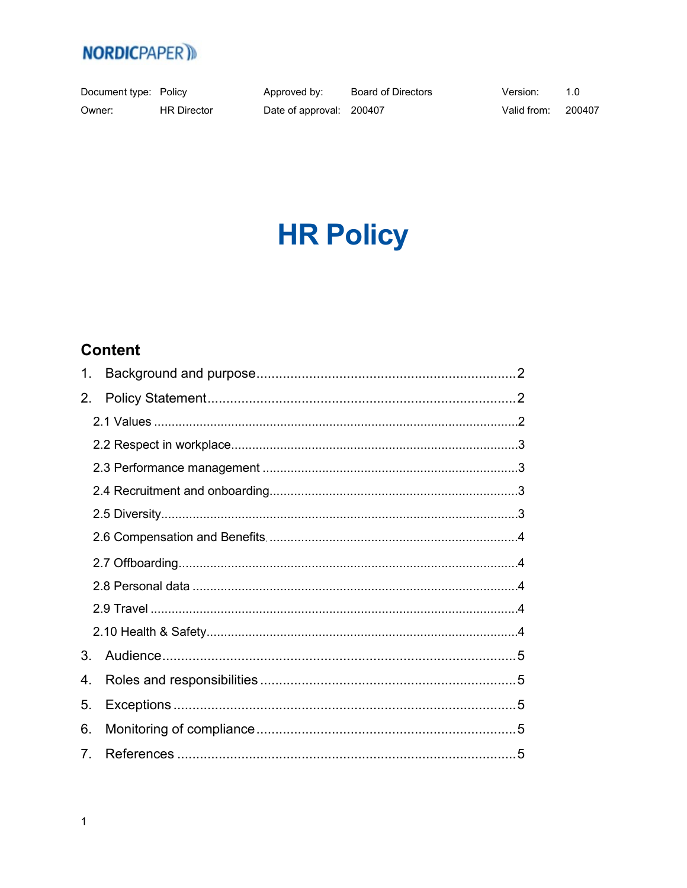

Document type: Policy Owner: **HR Director** 

Approved by: Date of approval: 200407

**Board of Directors** 

Version:  $1.0\,$ 

Valid from: 200407

# **HR Policy**

## **Content**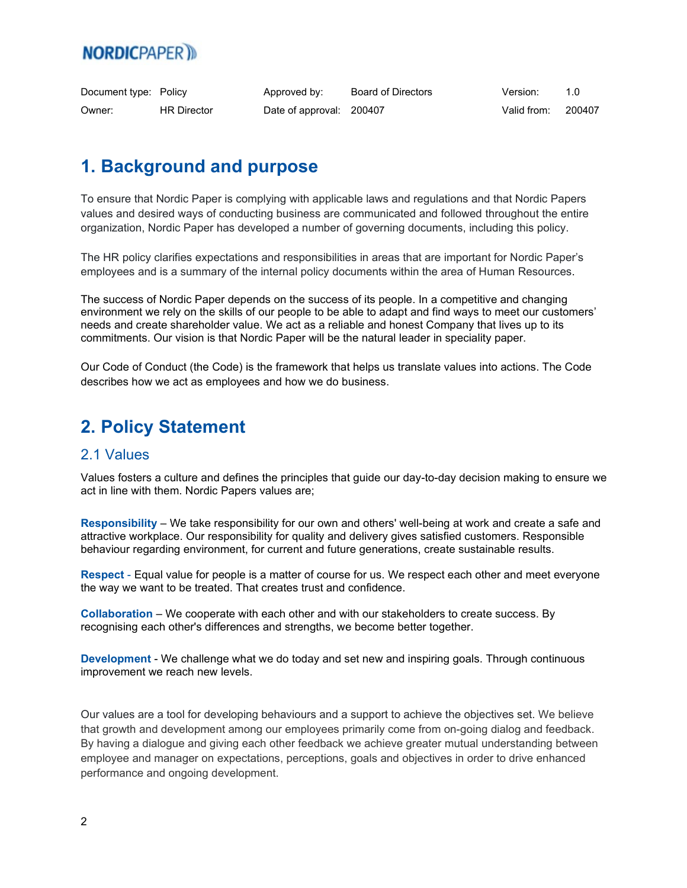# **NORDICPAPER**

| Document type: Policy |                    | Approved by:             | Board of Directors | Version:    |        |
|-----------------------|--------------------|--------------------------|--------------------|-------------|--------|
| Owner:                | <b>HR Director</b> | Date of approval: 200407 |                    | Valid from: | 200407 |

## <span id="page-1-0"></span>**1. Background and purpose**

To ensure that Nordic Paper is complying with applicable laws and regulations and that Nordic Papers values and desired ways of conducting business are communicated and followed throughout the entire organization, Nordic Paper has developed a number of governing documents, including this policy.

The HR policy clarifies expectations and responsibilities in areas that are important for Nordic Paper's employees and is a summary of the internal policy documents within the area of Human Resources.

The success of Nordic Paper depends on the success of its people. In a competitive and changing environment we rely on the skills of our people to be able to adapt and find ways to meet our customers' needs and create shareholder value. We act as a reliable and honest Company that lives up to its commitments. Our vision is that Nordic Paper will be the natural leader in speciality paper.

Our Code of Conduct (the Code) is the framework that helps us translate values into actions. The Code describes how we act as employees and how we do business.

## <span id="page-1-1"></span>**2. Policy Statement**

#### <span id="page-1-2"></span>2.1 Values

Values fosters a culture and defines the principles that guide our day-to-day decision making to ensure we act in line with them. Nordic Papers values are;

**Responsibility** – We take responsibility for our own and others' well-being at work and create a safe and attractive workplace. Our responsibility for quality and delivery gives satisfied customers. Responsible behaviour regarding environment, for current and future generations, create sustainable results.

**Respect** - Equal value for people is a matter of course for us. We respect each other and meet everyone the way we want to be treated. That creates trust and confidence.

**Collaboration** – We cooperate with each other and with our stakeholders to create success. By recognising each other's differences and strengths, we become better together.

**Development** - We challenge what we do today and set new and inspiring goals. Through continuous improvement we reach new levels.

Our values are a tool for developing behaviours and a support to achieve the objectives set. We believe that growth and development among our employees primarily come from on-going dialog and feedback. By having a dialogue and giving each other feedback we achieve greater mutual understanding between employee and manager on expectations, perceptions, goals and objectives in order to drive enhanced performance and ongoing development.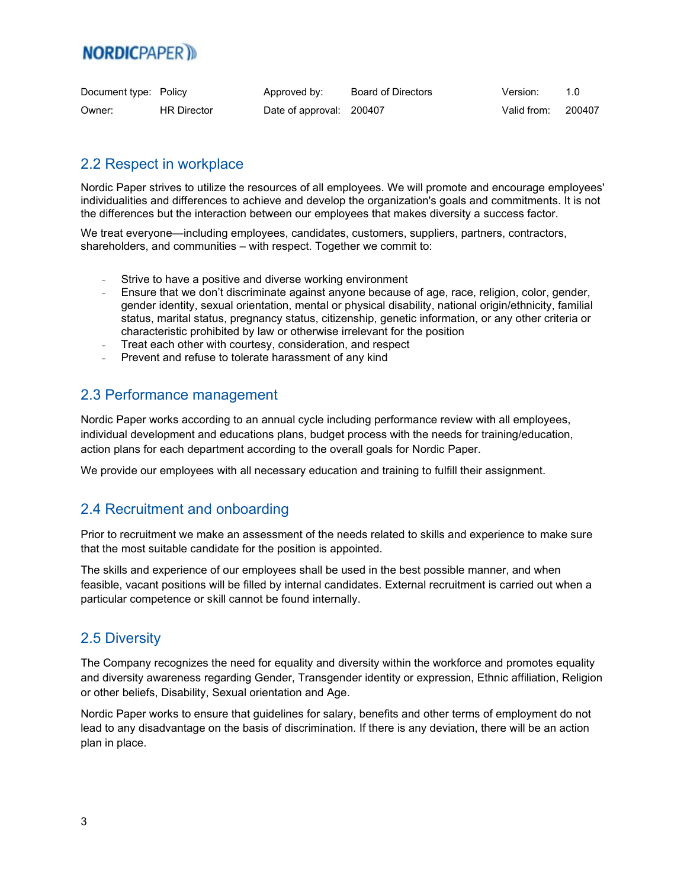# **NORDICPAPER**

| Document type: Policy |                    | Approved by:             | Board of Directors | Version:    |        |
|-----------------------|--------------------|--------------------------|--------------------|-------------|--------|
| Owner:                | <b>HR Director</b> | Date of approval: 200407 |                    | Valid from: | 200407 |

#### <span id="page-2-0"></span>2.2 Respect in workplace

Nordic Paper strives to utilize the resources of all employees. We will promote and encourage employees' individualities and differences to achieve and develop the organization's goals and commitments. It is not the differences but the interaction between our employees that makes diversity a success factor.

We treat everyone—including employees, candidates, customers, suppliers, partners, contractors, shareholders, and communities – with respect. Together we commit to:

- Strive to have a positive and diverse working environment
- Ensure that we don't discriminate against anyone because of age, race, religion, color, gender, gender identity, sexual orientation, mental or physical disability, national origin/ethnicity, familial status, marital status, pregnancy status, citizenship, genetic information, or any other criteria or characteristic prohibited by law or otherwise irrelevant for the position
- Treat each other with courtesy, consideration, and respect
- Prevent and refuse to tolerate harassment of any kind

#### <span id="page-2-1"></span>2.3 Performance management

Nordic Paper works according to an annual cycle including performance review with all employees, individual development and educations plans, budget process with the needs for training/education, action plans for each department according to the overall goals for Nordic Paper.

We provide our employees with all necessary education and training to fulfill their assignment.

#### <span id="page-2-2"></span>2.4 Recruitment and onboarding

Prior to recruitment we make an assessment of the needs related to skills and experience to make sure that the most suitable candidate for the position is appointed.

The skills and experience of our employees shall be used in the best possible manner, and when feasible, vacant positions will be filled by internal candidates. External recruitment is carried out when a particular competence or skill cannot be found internally.

#### <span id="page-2-3"></span>2.5 Diversity

The Company recognizes the need for equality and diversity within the workforce and promotes equality and diversity awareness regarding Gender, Transgender identity or expression, Ethnic affiliation, Religion or other beliefs, Disability, Sexual orientation and Age.

Nordic Paper works to ensure that guidelines for salary, benefits and other terms of employment do not lead to any disadvantage on the basis of discrimination. If there is any deviation, there will be an action plan in place.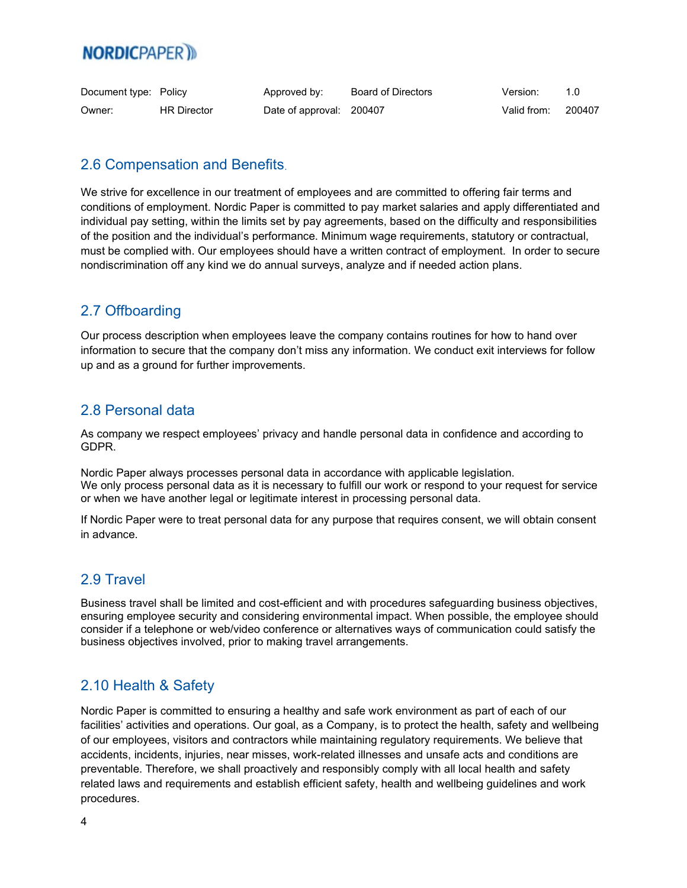# **NORDICPAPER**

| Document type: Policy |                    | Approved by:             | Board of Directors | Version:    |        |
|-----------------------|--------------------|--------------------------|--------------------|-------------|--------|
| Owner:                | <b>HR Director</b> | Date of approval: 200407 |                    | Valid from: | 200407 |

#### <span id="page-3-0"></span>2.6 Compensation and Benefits.

We strive for excellence in our treatment of employees and are committed to offering fair terms and conditions of employment. Nordic Paper is committed to pay market salaries and apply differentiated and individual pay setting, within the limits set by pay agreements, based on the difficulty and responsibilities of the position and the individual's performance. Minimum wage requirements, statutory or contractual, must be complied with. Our employees should have a written contract of employment. In order to secure nondiscrimination off any kind we do annual surveys, analyze and if needed action plans.

#### <span id="page-3-1"></span>2.7 Offboarding

Our process description when employees leave the company contains routines for how to hand over information to secure that the company don't miss any information. We conduct exit interviews for follow up and as a ground for further improvements.

#### <span id="page-3-2"></span>2.8 Personal data

As company we respect employees' privacy and handle personal data in confidence and according to GDPR.

Nordic Paper always processes personal data in accordance with applicable legislation. We only process personal data as it is necessary to fulfill our work or respond to your request for service or when we have another legal or legitimate interest in processing personal data.

If Nordic Paper were to treat personal data for any purpose that requires consent, we will obtain consent in advance.

#### <span id="page-3-3"></span>2.9 Travel

Business travel shall be limited and cost-efficient and with procedures safeguarding business objectives, ensuring employee security and considering environmental impact. When possible, the employee should consider if a telephone or web/video conference or alternatives ways of communication could satisfy the business objectives involved, prior to making travel arrangements.

#### <span id="page-3-4"></span>2.10 Health & Safety

Nordic Paper is committed to ensuring a healthy and safe work environment as part of each of our facilities' activities and operations. Our goal, as a Company, is to protect the health, safety and wellbeing of our employees, visitors and contractors while maintaining regulatory requirements. We believe that accidents, incidents, injuries, near misses, work-related illnesses and unsafe acts and conditions are preventable. Therefore, we shall proactively and responsibly comply with all local health and safety related laws and requirements and establish efficient safety, health and wellbeing guidelines and work procedures.